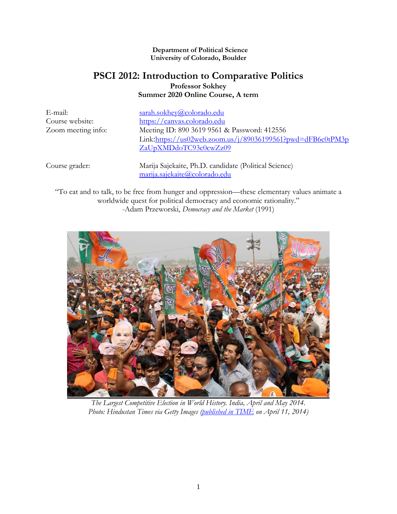#### **Department of Political Science University of Colorado, Boulder**

## **PSCI 2012: Introduction to Comparative Politics Professor Sokhey Summer 2020 Online Course, A term**

E-mail: [sarah.sokhey@colorado.edu](mailto:sarah.sokhey@colorado.edu) Course website: [https://canvas.colorado.edu](https://canvas.colorado.edu/) Zoom meeting info: Meeting ID: 890 3619 9561 & Password: 412556 Link:[https://us02web.zoom.us/j/89036199561?pwd=dFB6c0tPM3p](https://us02web.zoom.us/j/89036199561?pwd=dFB6c0tPM3pZaUpXMDdoTC93c0cwZz09) [ZaUpXMDdoTC93c0cwZz09](https://us02web.zoom.us/j/89036199561?pwd=dFB6c0tPM3pZaUpXMDdoTC93c0cwZz09)

Course grader: Marija Sajekaite, Ph.D. candidate (Political Science) [marija.sajekaite@colorado.edu](mailto:marija.sajekaite@colorado.edu)

"To eat and to talk, to be free from hunger and oppression—these elementary values animate a worldwide quest for political democracy and economic rationality." -Adam Przeworski, *Democracy and the Market* (1991)



*The Largest Competitive Election in World History. India, April and May 2014. Photo: Hindustan Times via Getty Images [\(published in TIME](http://time.com/33062/india-elections-expenditure/) on April 11, 2014)*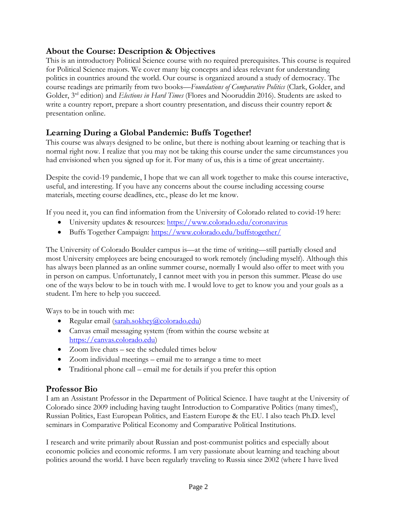## **About the Course: Description & Objectives**

This is an introductory Political Science course with no required prerequisites. This course is required for Political Science majors. We cover many big concepts and ideas relevant for understanding politics in countries around the world. Our course is organized around a study of democracy. The course readings are primarily from two books—*Foundations of Comparative Politics* (Clark, Golder, and Golder, 3rd edition) and *Elections in Hard Times* (Flores and Nooruddin 2016). Students are asked to write a country report, prepare a short country presentation, and discuss their country report & presentation online.

# **Learning During a Global Pandemic: Buffs Together!**

This course was always designed to be online, but there is nothing about learning or teaching that is normal right now. I realize that you may not be taking this course under the same circumstances you had envisioned when you signed up for it. For many of us, this is a time of great uncertainty.

Despite the covid-19 pandemic, I hope that we can all work together to make this course interactive, useful, and interesting. If you have any concerns about the course including accessing course materials, meeting course deadlines, etc., please do let me know.

If you need it, you can find information from the University of Colorado related to covid-19 here:

- University updates & resources:<https://www.colorado.edu/coronavirus>
- Buffs Together Campaign:<https://www.colorado.edu/buffstogether/>

The University of Colorado Boulder campus is—at the time of writing—still partially closed and most University employees are being encouraged to work remotely (including myself). Although this has always been planned as an online summer course, normally I would also offer to meet with you in person on campus. Unfortunately, I cannot meet with you in person this summer. Please do use one of the ways below to be in touch with me. I would love to get to know you and your goals as a student. I'm here to help you succeed.

Ways to be in touch with me:

- Regular email [\(sarah.sokhey@colorado.edu\)](mailto:sarah.sokhey@colorado.edu)
- Canvas email messaging system (from within the course website at [https://canvas.colorado.edu\)](https://canvas.colorado.edu/)
- Zoom live chats see the scheduled times below
- Zoom individual meetings email me to arrange a time to meet
- Traditional phone call email me for details if you prefer this option

## **Professor Bio**

I am an Assistant Professor in the Department of Political Science. I have taught at the University of Colorado since 2009 including having taught Introduction to Comparative Politics (many times!), Russian Politics, East European Politics, and Eastern Europe & the EU. I also teach Ph.D. level seminars in Comparative Political Economy and Comparative Political Institutions.

I research and write primarily about Russian and post-communist politics and especially about economic policies and economic reforms. I am very passionate about learning and teaching about politics around the world. I have been regularly traveling to Russia since 2002 (where I have lived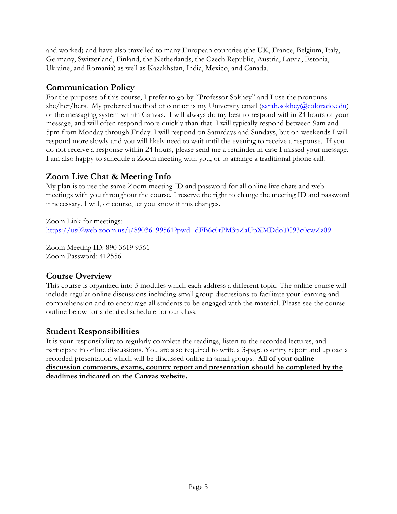and worked) and have also travelled to many European countries (the UK, France, Belgium, Italy, Germany, Switzerland, Finland, the Netherlands, the Czech Republic, Austria, Latvia, Estonia, Ukraine, and Romania) as well as Kazakhstan, India, Mexico, and Canada.

## **Communication Policy**

For the purposes of this course, I prefer to go by "Professor Sokhey" and I use the pronouns she/her/hers. My preferred method of contact is my University email [\(sarah.sokhey@colorado.edu\)](mailto:sarah.sokhey@colorado.edu) or the messaging system within Canvas. I will always do my best to respond within 24 hours of your message, and will often respond more quickly than that. I will typically respond between 9am and 5pm from Monday through Friday. I will respond on Saturdays and Sundays, but on weekends I will respond more slowly and you will likely need to wait until the evening to receive a response. If you do not receive a response within 24 hours, please send me a reminder in case I missed your message. I am also happy to schedule a Zoom meeting with you, or to arrange a traditional phone call.

## **Zoom Live Chat & Meeting Info**

My plan is to use the same Zoom meeting ID and password for all online live chats and web meetings with you throughout the course. I reserve the right to change the meeting ID and password if necessary. I will, of course, let you know if this changes.

Zoom Link for meetings: <https://us02web.zoom.us/j/89036199561?pwd=dFB6c0tPM3pZaUpXMDdoTC93c0cwZz09>

Zoom Meeting ID: 890 3619 9561 Zoom Password: 412556

## **Course Overview**

This course is organized into 5 modules which each address a different topic. The online course will include regular online discussions including small group discussions to facilitate your learning and comprehension and to encourage all students to be engaged with the material. Please see the course outline below for a detailed schedule for our class.

## **Student Responsibilities**

It is your responsibility to regularly complete the readings, listen to the recorded lectures, and participate in online discussions. You are also required to write a 3-page country report and upload a recorded presentation which will be discussed online in small groups. **All of your online discussion comments, exams, country report and presentation should be completed by the deadlines indicated on the Canvas website.**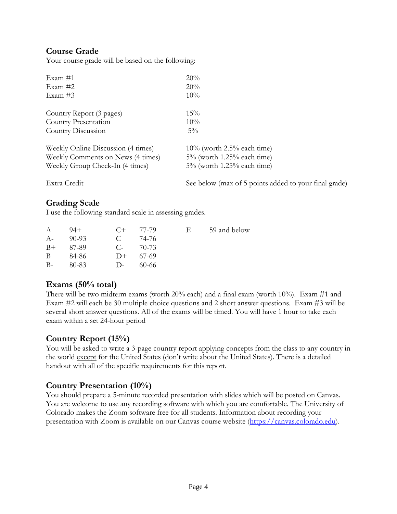## **Course Grade**

Your course grade will be based on the following:

| Exam $#1$                                                            | 20%                                                            |  |  |
|----------------------------------------------------------------------|----------------------------------------------------------------|--|--|
| Exam $#2$                                                            | 20%                                                            |  |  |
| Exam $#3$                                                            | 10%                                                            |  |  |
| Country Report (3 pages)                                             | 15%                                                            |  |  |
| Country Presentation                                                 | 10%                                                            |  |  |
| Country Discussion                                                   | $5\%$                                                          |  |  |
| Weekly Online Discussion (4 times)                                   | $10\%$ (worth 2.5% each time)                                  |  |  |
| Weekly Comments on News (4 times)<br>Weekly Group Check-In (4 times) | $5\%$ (worth 1.25% each time)<br>$5\%$ (worth 1.25% each time) |  |  |
|                                                                      |                                                                |  |  |

Extra Credit See below (max of 5 points added to your final grade)

## **Grading Scale**

I use the following standard scale in assessing grades.

| $\mathsf{A}$ | -94+    |            | $C+$ 77-79 | Е. | 59 and below |
|--------------|---------|------------|------------|----|--------------|
| $A-$         | $90-93$ | <b>C</b>   | - 74-76    |    |              |
| $B+$         | 87-89   | $C_{\tau}$ | 70-73      |    |              |
| B.           | 84-86   |            | $D+$ 67-69 |    |              |
| $B-$         | 80-83   | $\Box$     | 60-66      |    |              |

## **Exams (50% total)**

There will be two midterm exams (worth 20% each) and a final exam (worth 10%). Exam #1 and Exam #2 will each be 30 multiple choice questions and 2 short answer questions. Exam #3 will be several short answer questions. All of the exams will be timed. You will have 1 hour to take each exam within a set 24-hour period

## **Country Report (15%)**

You will be asked to write a 3-page country report applying concepts from the class to any country in the world except for the United States (don't write about the United States). There is a detailed handout with all of the specific requirements for this report.

## **Country Presentation (10%)**

You should prepare a 5-minute recorded presentation with slides which will be posted on Canvas. You are welcome to use any recording software with which you are comfortable. The University of Colorado makes the Zoom software free for all students. Information about recording your presentation with Zoom is available on our Canvas course website [\(https://canvas.colorado.edu\)](https://canvas.colorado.edu/).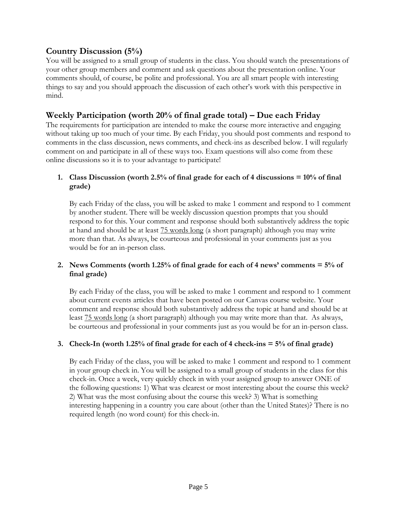## **Country Discussion (5%)**

You will be assigned to a small group of students in the class. You should watch the presentations of your other group members and comment and ask questions about the presentation online. Your comments should, of course, be polite and professional. You are all smart people with interesting things to say and you should approach the discussion of each other's work with this perspective in mind.

## **Weekly Participation (worth 20% of final grade total) – Due each Friday**

The requirements for participation are intended to make the course more interactive and engaging without taking up too much of your time. By each Friday, you should post comments and respond to comments in the class discussion, news comments, and check-ins as described below. I will regularly comment on and participate in all of these ways too. Exam questions will also come from these online discussions so it is to your advantage to participate!

### **1. Class Discussion (worth 2.5% of final grade for each of 4 discussions = 10% of final grade)**

By each Friday of the class, you will be asked to make 1 comment and respond to 1 comment by another student. There will be weekly discussion question prompts that you should respond to for this. Your comment and response should both substantively address the topic at hand and should be at least 75 words long (a short paragraph) although you may write more than that. As always, be courteous and professional in your comments just as you would be for an in-person class.

### **2. News Comments (worth 1.25% of final grade for each of 4 news' comments = 5% of final grade)**

By each Friday of the class, you will be asked to make 1 comment and respond to 1 comment about current events articles that have been posted on our Canvas course website. Your comment and response should both substantively address the topic at hand and should be at least 75 words long (a short paragraph) although you may write more than that. As always, be courteous and professional in your comments just as you would be for an in-person class.

### **3. Check-In (worth 1.25% of final grade for each of 4 check-ins = 5% of final grade)**

By each Friday of the class, you will be asked to make 1 comment and respond to 1 comment in your group check in. You will be assigned to a small group of students in the class for this check-in. Once a week, very quickly check in with your assigned group to answer ONE of the following questions: 1) What was clearest or most interesting about the course this week? 2) What was the most confusing about the course this week? 3) What is something interesting happening in a country you care about (other than the United States)? There is no required length (no word count) for this check-in.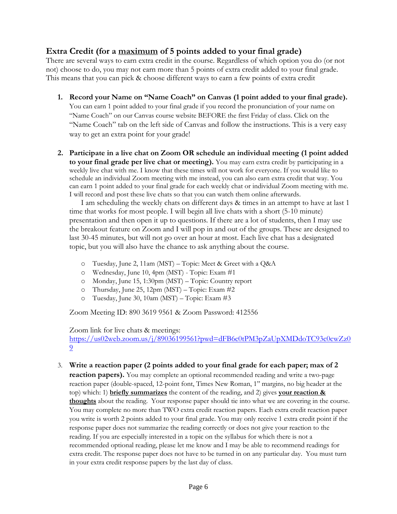## **Extra Credit (for a maximum of 5 points added to your final grade)**

There are several ways to earn extra credit in the course. Regardless of which option you do (or not not) choose to do, you may not earn more than 5 points of extra credit added to your final grade. This means that you can pick & choose different ways to earn a few points of extra credit

- **1. Record your Name on "Name Coach" on Canvas (1 point added to your final grade).**  You can earn 1 point added to your final grade if you record the pronunciation of your name on "Name Coach" on our Canvas course website BEFORE the first Friday of class. Click on the "Name Coach" tab on the left side of Canvas and follow the instructions. This is a very easy way to get an extra point for your grade!
- **2. Participate in a live chat on Zoom OR schedule an individual meeting (1 point added to your final grade per live chat or meeting).** You may earn extra credit by participating in a weekly live chat with me. I know that these times will not work for everyone. If you would like to schedule an individual Zoom meeting with me instead, you can also earn extra credit that way. You can earn 1 point added to your final grade for each weekly chat or individual Zoom meeting with me. I will record and post these live chats so that you can watch them online afterwards.

I am scheduling the weekly chats on different days & times in an attempt to have at last 1 time that works for most people. I will begin all live chats with a short (5-10 minute) presentation and then open it up to questions. If there are a lot of students, then I may use the breakout feature on Zoom and I will pop in and out of the groups. These are designed to last 30-45 minutes, but will not go over an hour at most. Each live chat has a designated topic, but you will also have the chance to ask anything about the course.

- o Tuesday, June 2, 11am (MST) Topic: Meet & Greet with a Q&A
- o Wednesday, June 10, 4pm (MST) Topic: Exam #1
- o Monday, June 15, 1:30pm (MST) Topic: Country report
- o Thursday, June 25, 12pm (MST) Topic: Exam  $#2$
- o Tuesday, June 30, 10am (MST) Topic: Exam #3

Zoom Meeting ID: 890 3619 9561 & Zoom Password: 412556

Zoom link for live chats & meetings:

[https://us02web.zoom.us/j/89036199561?pwd=dFB6c0tPM3pZaUpXMDdoTC93c0cwZz0](https://us02web.zoom.us/j/89036199561?pwd=dFB6c0tPM3pZaUpXMDdoTC93c0cwZz09) [9](https://us02web.zoom.us/j/89036199561?pwd=dFB6c0tPM3pZaUpXMDdoTC93c0cwZz09)

3. **Write a reaction paper (2 points added to your final grade for each paper; max of 2** 

**reaction papers).** You may complete an optional recommended reading and write a two-page reaction paper (double-spaced, 12-point font, Times New Roman, 1'' margins, no big header at the top) which: 1) **briefly summarizes** the content of the reading, and 2) gives **your reaction & thoughts** about the reading. Your response paper should tie into what we are covering in the course. You may complete no more than TWO extra credit reaction papers. Each extra credit reaction paper you write is worth 2 points added to your final grade. You may only receive 1 extra credit point if the response paper does not summarize the reading correctly or does not give your reaction to the reading. If you are especially interested in a topic on the syllabus for which there is not a recommended optional reading, please let me know and I may be able to recommend readings for extra credit. The response paper does not have to be turned in on any particular day. You must turn in your extra credit response papers by the last day of class.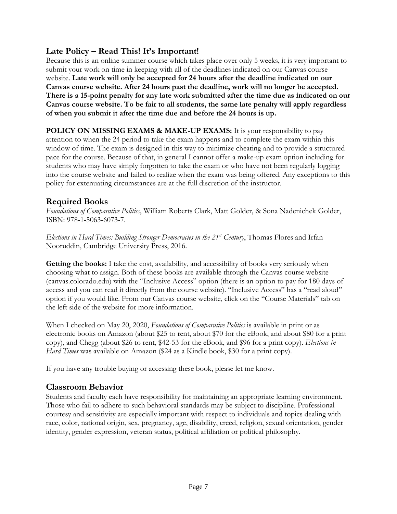## **Late Policy – Read This! It's Important!**

Because this is an online summer course which takes place over only 5 weeks, it is very important to submit your work on time in keeping with all of the deadlines indicated on our Canvas course website. **Late work will only be accepted for 24 hours after the deadline indicated on our Canvas course website. After 24 hours past the deadline, work will no longer be accepted. There is a 15-point penalty for any late work submitted after the time due as indicated on our Canvas course website. To be fair to all students, the same late penalty will apply regardless of when you submit it after the time due and before the 24 hours is up.**

**POLICY ON MISSING EXAMS & MAKE-UP EXAMS:** It is your responsibility to pay attention to when the 24 period to take the exam happens and to complete the exam within this window of time. The exam is designed in this way to minimize cheating and to provide a structured pace for the course. Because of that, in general I cannot offer a make-up exam option including for students who may have simply forgotten to take the exam or who have not been regularly logging into the course website and failed to realize when the exam was being offered. Any exceptions to this policy for extenuating circumstances are at the full discretion of the instructor.

## **Required Books**

*Foundations of Comparative Politics*, William Roberts Clark, Matt Golder, & Sona Nadenichek Golder, ISBN: 978-1-5063-6073-7.

*Elections in Hard Times: Building Stronger Democracies in the 21st Century*, Thomas Flores and Irfan Nooruddin, Cambridge University Press, 2016.

**Getting the books:** I take the cost, availability, and accessibility of books very seriously when choosing what to assign. Both of these books are available through the Canvas course website (canvas.colorado.edu) with the "Inclusive Access" option (there is an option to pay for 180 days of access and you can read it directly from the course website). "Inclusive Access" has a "read aloud" option if you would like. From our Canvas course website, click on the "Course Materials" tab on the left side of the website for more information.

When I checked on May 20, 2020, *Foundations of Comparative Politics* is available in print or as electronic books on Amazon (about \$25 to rent, about \$70 for the eBook, and about \$80 for a print copy), and Chegg (about \$26 to rent, \$42-53 for the eBook, and \$96 for a print copy). *Elections in Hard Times* was available on Amazon (\$24 as a Kindle book, \$30 for a print copy).

If you have any trouble buying or accessing these book, please let me know.

## **Classroom Behavior**

Students and faculty each have responsibility for maintaining an appropriate learning environment. Those who fail to adhere to such behavioral standards may be subject to discipline. Professional courtesy and sensitivity are especially important with respect to individuals and topics dealing with race, color, national origin, sex, pregnancy, age, disability, creed, religion, sexual orientation, gender identity, gender expression, veteran status, political affiliation or political philosophy.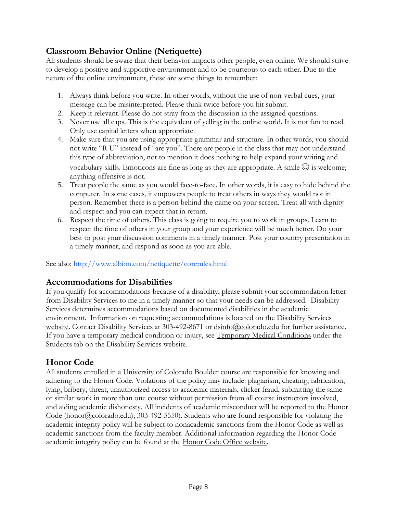# **Classroom Behavior Online (Netiquette)**

All students should be aware that their behavior impacts other people, even online. We should strive to develop a positive and supportive environment and to be courteous to each other. Due to the nature of the online environment, these are some things to remember:

- 1. Always think before you write. In other words, without the use of non-verbal cues, your message can be misinterpreted. Please think twice before you hit submit.
- 2. Keep it relevant. Please do not stray from the discussion in the assigned questions.
- 3. Never use all caps. This is the equivalent of yelling in the online world. It is not fun to read. Only use capital letters when appropriate.
- 4. Make sure that you are using appropriate grammar and structure. In other words, you should not write "R U" instead of "are you". There are people in the class that may not understand this type of abbreviation, not to mention it does nothing to help expand your writing and vocabulary skills. Emoticons are fine as long as they are appropriate. A smile  $\odot$  is welcome; anything offensive is not.
- 5. Treat people the same as you would face-to-face. In other words, it is easy to hide behind the computer. In some cases, it empowers people to treat others in ways they would not in person. Remember there is a person behind the name on your screen. Treat all with dignity and respect and you can expect that in return.
- 6. Respect the time of others. This class is going to require you to work in groups. Learn to respect the time of others in your group and your experience will be much better. Do your best to post your discussion comments in a timely manner. Post your country presentation in a timely manner, and respond as soon as you are able.

See also:<http://www.albion.com/netiquette/corerules.html>

# **Accommodations for Disabilities**

If you qualify for accommodations because of a disability, please submit your accommodation letter from Disability Services to me in a timely manner so that your needs can be addressed. Disability Services determines accommodations based on documented disabilities in the academic environment. Information on requesting accommodations is located on the Disability Services [website.](http://www.colorado.edu/disabilityservices/students) Contact Disability Services at 303-492-8671 or  $\frac{d \sin 6(a) \cos 2b \cos 2b}{d \sin 2b \cos 2b}$  for further assistance. If you have a temporary medical condition or injury, see [Temporary Medical Conditions](http://www.colorado.edu/disabilityservices/students/temporary-medical-conditions) under the Students tab on the Disability Services website.

# **Honor Code**

All students enrolled in a University of Colorado Boulder course are responsible for knowing and adhering to the Honor Code. Violations of the policy may include: plagiarism, cheating, fabrication, lying, bribery, threat, unauthorized access to academic materials, clicker fraud, submitting the same or similar work in more than one course without permission from all course instructors involved, and aiding academic dishonesty. All incidents of academic misconduct will be reported to the Honor Code [\(honor@colorado.edu\)](mailto:honor@colorado.edu); 303-492-5550). Students who are found responsible for violating the academic integrity policy will be subject to nonacademic sanctions from the Honor Code as well as academic sanctions from the faculty member. Additional information regarding the Honor Code academic integrity policy can be found at the [Honor Code Office website.](https://www.colorado.edu/osccr/honor-code)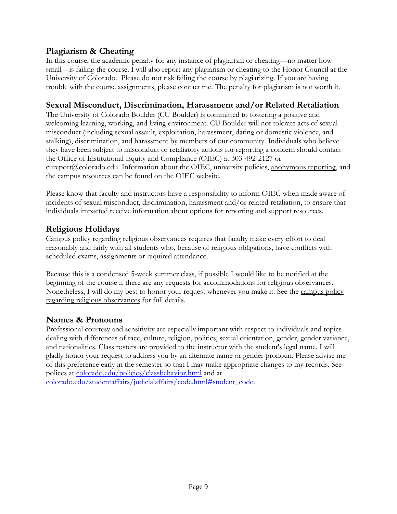## **Plagiarism & Cheating**

In this course, the academic penalty for any instance of plagiarism or cheating—no matter how small—is failing the course. I will also report any plagiarism or cheating to the Honor Council at the University of Colorado. Please do not risk failing the course by plagiarizing. If you are having trouble with the course assignments, please contact me. The penalty for plagiarism is not worth it.

## **Sexual Misconduct, Discrimination, Harassment and/or Related Retaliation**

The University of Colorado Boulder (CU Boulder) is committed to fostering a positive and welcoming learning, working, and living environment. CU Boulder will not tolerate acts of sexual misconduct (including sexual assault, exploitation, harassment, dating or domestic violence, and stalking), discrimination, and harassment by members of our community. Individuals who believe they have been subject to misconduct or retaliatory actions for reporting a concern should contact the Office of Institutional Equity and Compliance (OIEC) at 303-492-2127 or cureport@colorado.edu. Information about the OIEC, university policies, [anonymous reporting,](https://cuboulder.qualtrics.com/jfe/form/SV_0PnqVK4kkIJIZnf) and the campus resources can be found on the [OIEC website.](http://www.colorado.edu/institutionalequity/)

Please know that faculty and instructors have a responsibility to inform OIEC when made aware of incidents of sexual misconduct, discrimination, harassment and/or related retaliation, to ensure that individuals impacted receive information about options for reporting and support resources.

## **Religious Holidays**

Campus policy regarding religious observances requires that faculty make every effort to deal reasonably and fairly with all students who, because of religious obligations, have conflicts with scheduled exams, assignments or required attendance.

Because this is a condensed 5-week summer class, if possible I would like to be notified at the beginning of the course if there are any requests for accommodations for religious observances. Nonetheless, I will do my best to honor your request whenever you make it. See the campus policy [regarding religious observances](http://www.colorado.edu/policies/observance-religious-holidays-and-absences-classes-andor-exams) for full details.

## **Names & Pronouns**

Professional courtesy and sensitivity are especially important with respect to individuals and topics dealing with differences of race, culture, religion, politics, sexual orientation, gender, gender variance, and nationalities. Class rosters are provided to the instructor with the student's legal name. I will gladly honor your request to address you by an alternate name or gender pronoun. Please advise me of this preference early in the semester so that I may make appropriate changes to my records. See polices at [colorado.edu/policies/classbehavior.html](http://www.colorado.edu/policies/classbehavior.html) and at

[colorado.edu/studentaffairs/judicialaffairs/code.html#student\\_code.](http://www.colorado.edu/studentaffairs/judicialaffairs/code.html)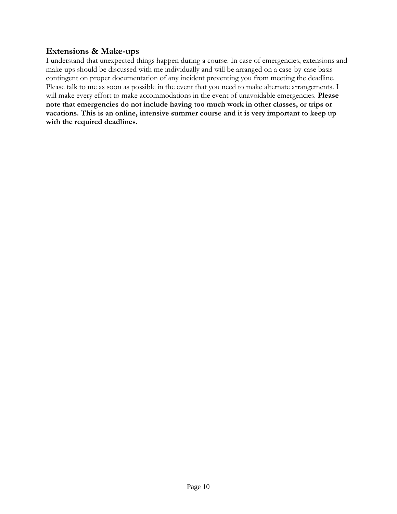## **Extensions & Make-ups**

I understand that unexpected things happen during a course. In case of emergencies, extensions and make-ups should be discussed with me individually and will be arranged on a case-by-case basis contingent on proper documentation of any incident preventing you from meeting the deadline. Please talk to me as soon as possible in the event that you need to make alternate arrangements. I will make every effort to make accommodations in the event of unavoidable emergencies. **Please note that emergencies do not include having too much work in other classes, or trips or vacations. This is an online, intensive summer course and it is very important to keep up with the required deadlines.**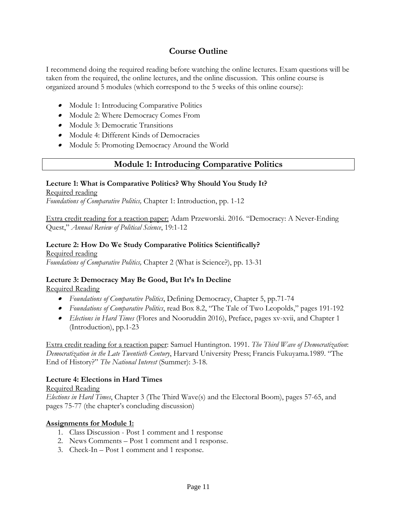## **Course Outline**

I recommend doing the required reading before watching the online lectures. Exam questions will be taken from the required, the online lectures, and the online discussion. This online course is organized around 5 modules (which correspond to the 5 weeks of this online course):

- Module 1: Introducing Comparative Politics
- Module 2: Where Democracy Comes From
- Module 3: Democratic Transitions
- Module 4: Different Kinds of Democracies
- Module 5: Promoting Democracy Around the World

### **Module 1: Introducing Comparative Politics**

### **Lecture 1: What is Comparative Politics? Why Should You Study It?**

#### Required reading

*Foundations of Comparative Politics,* Chapter 1: Introduction, pp. 1-12

Extra credit reading for a reaction paper: Adam Przeworski. 2016. "Democracy: A Never-Ending Quest," *Annual Review of Political Science*, 19:1-12

# **Lecture 2: How Do We Study Comparative Politics Scientifically?**

Required reading *Foundations of Comparative Politics,* Chapter 2 (What is Science?), pp. 13-31

### **Lecture 3: Democracy May Be Good, But It's In Decline**

### Required Reading

- *Foundations of Comparative Politics*, Defining Democracy, Chapter 5, pp.71-74
- *Foundations of Comparative Politics*, read Box 8.2, "The Tale of Two Leopolds," pages 191-192
- *Elections in Hard Times* (Flores and Nooruddin 2016), Preface, pages xv-xvii, and Chapter 1 (Introduction), pp.1-23

Extra credit reading for a reaction paper: Samuel Huntington. 1991. *The Third Wave of Democratization*: *Democratization in the Late Twentieth Century*, Harvard University Press; Francis Fukuyama.1989. "The End of History?" *The National Interest* (Summer): 3-18.

### **Lecture 4: Elections in Hard Times**

### Required Reading

*Elections in Hard Times*, Chapter 3 (The Third Wave(s) and the Electoral Boom), pages 57-65, and pages 75-77 (the chapter's concluding discussion)

### **Assignments for Module 1:**

- 1. Class Discussion Post 1 comment and 1 response
- 2. News Comments Post 1 comment and 1 response.
- 3. Check-In Post 1 comment and 1 response.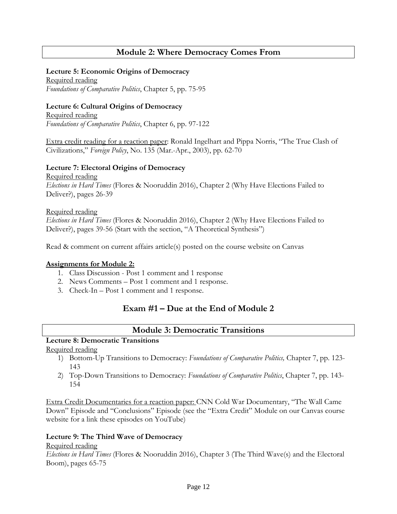## **Module 2: Where Democracy Comes From**

#### **Lecture 5: Economic Origins of Democracy**

Required reading *Foundations of Comparative Politics*, Chapter 5, pp. 75-95

### **Lecture 6: Cultural Origins of Democracy**

Required reading *Foundations of Comparative Politics*, Chapter 6, pp. 97-122

Extra credit reading for a reaction paper: Ronald Ingelhart and Pippa Norris, "The True Clash of Civilizations," *Foreign Policy*, No. 135 (Mar.-Apr., 2003), pp. 62-70

#### **Lecture 7: Electoral Origins of Democracy**

Required reading *Elections in Hard Times* (Flores & Nooruddin 2016), Chapter 2 (Why Have Elections Failed to Deliver?), pages 26-39

#### Required reading

*Elections in Hard Times* (Flores & Nooruddin 2016), Chapter 2 (Why Have Elections Failed to Deliver?), pages 39-56 (Start with the section, "A Theoretical Synthesis")

Read & comment on current affairs article(s) posted on the course website on Canvas

### **Assignments for Module 2:**

- 1. Class Discussion Post 1 comment and 1 response
- 2. News Comments Post 1 comment and 1 response.
- 3. Check-In Post 1 comment and 1 response.

## **Exam #1 – Due at the End of Module 2**

### **Module 3: Democratic Transitions**

# **Lecture 8: Democratic Transitions**

Required reading

- 1) Bottom-Up Transitions to Democracy: *Foundations of Comparative Politics,* Chapter 7, pp. 123- 143
- 2) Top-Down Transitions to Democracy: *Foundations of Comparative Politics*, Chapter 7, pp. 143- 154

Extra Credit Documentaries for a reaction paper: CNN Cold War Documentary, "The Wall Came Down" Episode and "Conclusions" Episode (see the "Extra Credit" Module on our Canvas course website for a link these episodes on YouTube)

### **Lecture 9: The Third Wave of Democracy**

Required reading

*Elections in Hard Times* (Flores & Nooruddin 2016), Chapter 3 (The Third Wave(s) and the Electoral Boom), pages 65-75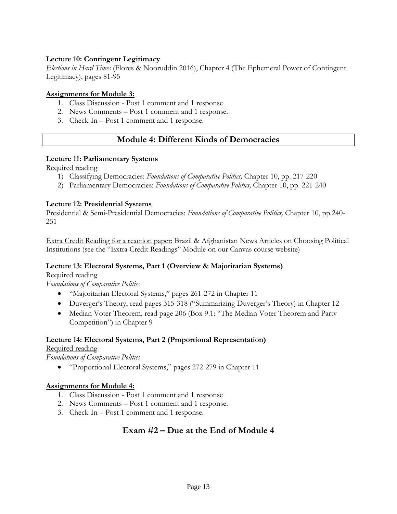### **Lecture 10: Contingent Legitimacy**

*Elections in Hard Times* (Flores & Nooruddin 2016), Chapter 4 (The Ephemeral Power of Contingent Legitimacy), pages 81-95

### **Assignments for Module 3:**

- 1. Class Discussion Post 1 comment and 1 response
- 2. News Comments Post 1 comment and 1 response.
- 3. Check-In Post 1 comment and 1 response.

## **Module 4: Different Kinds of Democracies**

### **Lecture 11: Parliamentary Systems**

Required reading

- 1) Classifying Democracies: *Foundations of Comparative Politics,* Chapter 10, pp. 217-220
- 2) Parliamentary Democracies: *Foundations of Comparative Politics,* Chapter 10, pp. 221-240

### **Lecture 12: Presidential Systems**

Presidential & Semi-Presidential Democracies: *Foundations of Comparative Politics,* Chapter 10, pp.240- 251

Extra Credit Reading for a reaction paper: Brazil & Afghanistan News Articles on Choosing Political Institutions (see the "Extra Credit Readings" Module on our Canvas course website)

#### **Lecture 13: Electoral Systems, Part 1 (Overview & Majoritarian Systems)** Required reading

*Foundations of Comparative Politics*

- "Majoritarian Electoral Systems," pages 261-272 in Chapter 11
- Duverger's Theory, read pages 315-318 ("Summarizing Duverger's Theory) in Chapter 12
- Median Voter Theorem, read page 206 (Box 9.1: "The Median Voter Theorem and Party Competition") in Chapter 9

#### **Lecture 14: Electoral Systems, Part 2 (Proportional Representation)** Required reading

*Foundations of Comparative Politics*

• "Proportional Electoral Systems," pages 272-279 in Chapter 11

### **Assignments for Module 4:**

- 1. Class Discussion Post 1 comment and 1 response
- 2. News Comments Post 1 comment and 1 response.
- 3. Check-In Post 1 comment and 1 response.

## **Exam #2 – Due at the End of Module 4**